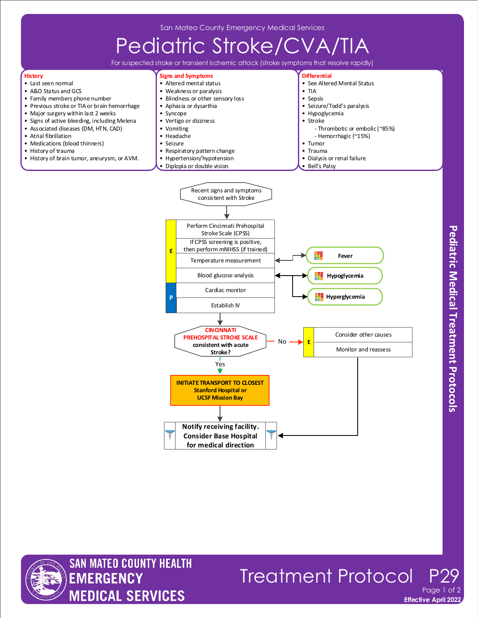## Pediatric Stroke/CVA/

For suspected stroke or transient ischemic attack (stroke symptoms that resolve rapidly)

## **History**

- Last seen normal
- A&O Status and GCS
- Family members phone number
- Previous stroke or TIA or brain hemorrhage • Major surgery within last 2 weeks
- Signs of active bleeding, including Melena
- Associated diseases (DM, HTN, CAD)
- Atrial fibrillation
- Medications (blood thinners)
- History of trauma
- History of brain tumor, aneurysm, or AVM.